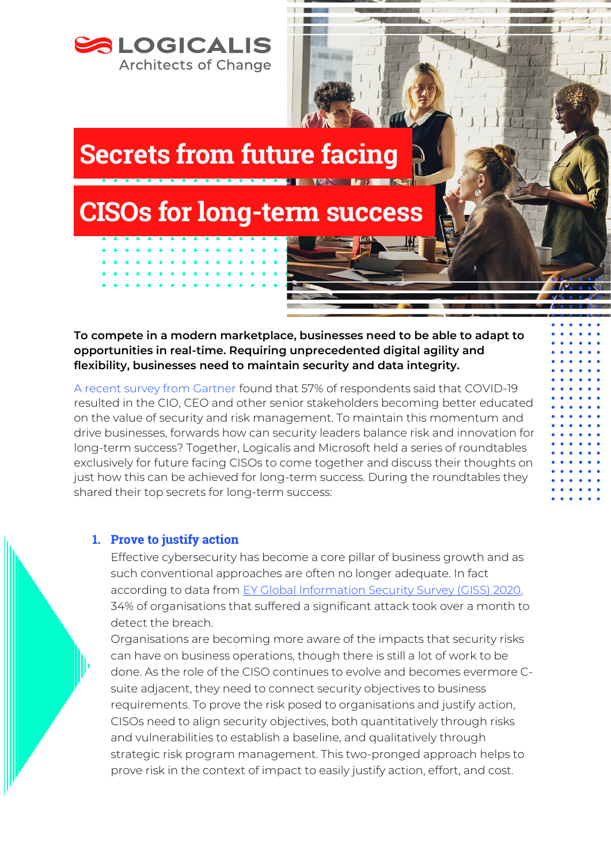

**To compete in a modern marketplace, businesses need to be able to adapt to opportunities in real-time. Requiring unprecedented digital agility and flexibility, businesses need to maintain security and data integrity.** 

[A recent survey from Gartner](https://www.gartner.com/en/newsroom/press-releases/2021-11-16-gartner-identifies-three-steps-for-security-and-risk-leaders-to-lead-from-an-offensive-position) found that 57% of respondents said that COVID-19 resulted in the CIO, CEO and other senior stakeholders becoming better educated on the value of security and risk management. To maintain this momentum and drive businesses, forwards how can security leaders balance risk and innovation for long-term success? Together, Logicalis and Microsoft held a series of roundtables exclusively for future facing CISOs to come together and discuss their thoughts on just how this can be achieved for long-term success. During the roundtables they shared their top secrets for long-term success:

## 1. Prove to justify action

Effective cybersecurity has become a core pillar of business growth and as such conventional approaches are often no longer adequate. In fact according to data from [EY Global Information Security Survey \(GISS\) 2020,](chrome-extension://efaidnbmnnnibpcajpcglclefindmkaj/viewer.html?pdfurl=https%3A%2F%2Fassets.ey.com%2Fcontent%2Fdam%2Fey-sites%2Fey-com%2Fen_gl%2Ftopics%2Fadvisory%2Fey-global-information-security-survey-2020-single-pages.pdf&clen=1019491&chunk=true) 34% of organisations that suffered a significant attack took over a month to detect the breach.

Organisations are becoming more aware of the impacts that security risks can have on business operations, though there is still a lot of work to be done. As the role of the CISO continues to evolve and becomes evermore Csuite adjacent, they need to connect security objectives to business requirements. To prove the risk posed to organisations and justify action, CISOs need to align security objectives, both quantitatively through risks and vulnerabilities to establish a baseline, and qualitatively through strategic risk program management. This two-pronged approach helps to prove risk in the context of impact to easily justify action, effort, and cost.